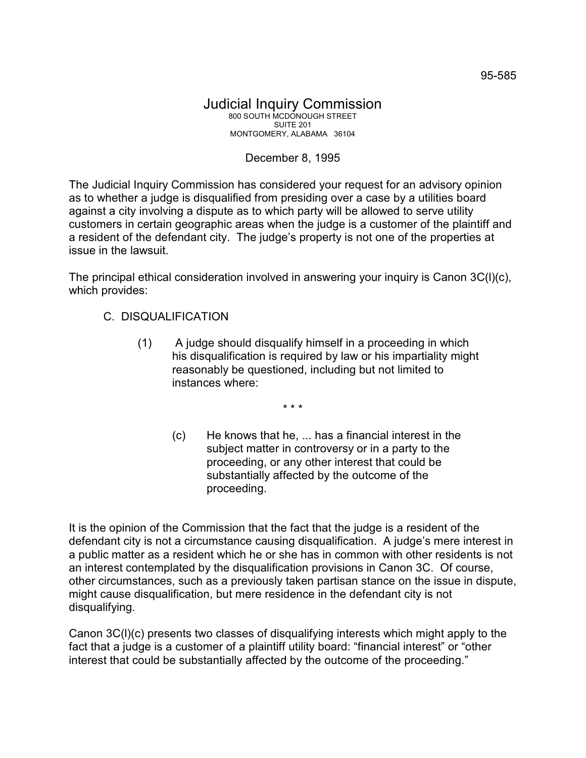## Judicial Inquiry Commission 800 SOUTH MCDONOUGH STREET SUITE 201 MONTGOMERY, ALABAMA 36104

## December 8, 1995

The Judicial Inquiry Commission has considered your request for an advisory opinion as to whether a judge is disqualified from presiding over a case by a utilities board against a city involving a dispute as to which party will be allowed to serve utility customers in certain geographic areas when the judge is a customer of the plaintiff and a resident of the defendant city. The judge's property is not one of the properties at issue in the lawsuit.

The principal ethical consideration involved in answering your inquiry is Canon 3C(l)(c), which provides:

- C. DISQUALIFICATION
	- (1) A judge should disqualify himself in a proceeding in which his disqualification is required by law or his impartiality might reasonably be questioned, including but not limited to instances where:

\* \* \*

(c) He knows that he, ... has a financial interest in the subject matter in controversy or in a party to the proceeding, or any other interest that could be substantially affected by the outcome of the proceeding.

It is the opinion of the Commission that the fact that the judge is a resident of the defendant city is not a circumstance causing disqualification. A judge's mere interest in a public matter as a resident which he or she has in common with other residents is not an interest contemplated by the disqualification provisions in Canon 3C. Of course, other circumstances, such as a previously taken partisan stance on the issue in dispute, might cause disqualification, but mere residence in the defendant city is not disqualifying.

Canon 3C(l)(c) presents two classes of disqualifying interests which might apply to the fact that a judge is a customer of a plaintiff utility board: "financial interest" or "other interest that could be substantially affected by the outcome of the proceeding."